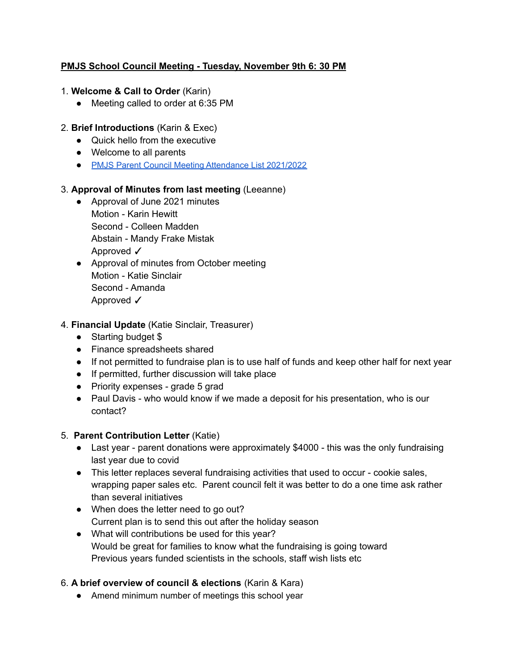## **PMJS School Council Meeting - Tuesday, November 9th 6: 30 PM**

- 1. **Welcome & Call to Order** (Karin)
	- Meeting called to order at 6:35 PM
- 2. **Brief Introductions** (Karin & Exec)
	- Quick hello from the executive
	- Welcome to all parents
	- PMJS Parent Council Meeting [Attendance](https://docs.google.com/document/d/1dFI222PIRyyG9XjBS992aDNc9ra_Ori2XYTl80UIehM/edit) List 2021/2022

#### 3. **Approval of Minutes from last meeting** (Leeanne)

- Approval of June 2021 minutes Motion - Karin Hewitt Second - Colleen Madden Abstain - Mandy Frake Mistak Approved ✓
- Approval of minutes from October meeting Motion - Katie Sinclair Second - Amanda Approved √
- 4. **Financial Update** (Katie Sinclair, Treasurer)
	- Starting budget \$
	- Finance spreadsheets shared
	- If not permitted to fundraise plan is to use half of funds and keep other half for next year
	- If permitted, further discussion will take place
	- Priority expenses grade 5 grad
	- Paul Davis who would know if we made a deposit for his presentation, who is our contact?

## 5. **Parent Contribution Letter** (Katie)

- Last year parent donations were approximately \$4000 this was the only fundraising last year due to covid
- This letter replaces several fundraising activities that used to occur cookie sales, wrapping paper sales etc. Parent council felt it was better to do a one time ask rather than several initiatives
- When does the letter need to go out? Current plan is to send this out after the holiday season
- What will contributions be used for this year? Would be great for families to know what the fundraising is going toward Previous years funded scientists in the schools, staff wish lists etc

## 6. **A brief overview of council & elections** (Karin & Kara)

● Amend minimum number of meetings this school year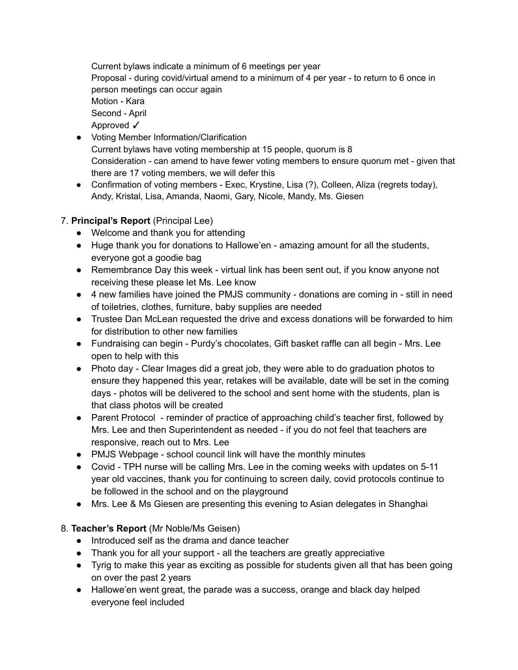Current bylaws indicate a minimum of 6 meetings per year Proposal - during covid/virtual amend to a minimum of 4 per year - to return to 6 once in person meetings can occur again Motion - Kara Second - April Approved √

- Voting Member Information/Clarification Current bylaws have voting membership at 15 people, quorum is 8 Consideration - can amend to have fewer voting members to ensure quorum met - given that there are 17 voting members, we will defer this
- Confirmation of voting members Exec, Krystine, Lisa (?), Colleen, Aliza (regrets today), Andy, Kristal, Lisa, Amanda, Naomi, Gary, Nicole, Mandy, Ms. Giesen

## 7. **Principal's Report** (Principal Lee)

- Welcome and thank you for attending
- Huge thank you for donations to Hallowe'en amazing amount for all the students, everyone got a goodie bag
- Remembrance Day this week virtual link has been sent out, if you know anyone not receiving these please let Ms. Lee know
- 4 new families have joined the PMJS community donations are coming in still in need of toiletries, clothes, furniture, baby supplies are needed
- Trustee Dan McLean requested the drive and excess donations will be forwarded to him for distribution to other new families
- Fundraising can begin Purdy's chocolates, Gift basket raffle can all begin Mrs. Lee open to help with this
- Photo day Clear Images did a great job, they were able to do graduation photos to ensure they happened this year, retakes will be available, date will be set in the coming days - photos will be delivered to the school and sent home with the students, plan is that class photos will be created
- Parent Protocol reminder of practice of approaching child's teacher first, followed by Mrs. Lee and then Superintendent as needed - if you do not feel that teachers are responsive, reach out to Mrs. Lee
- PMJS Webpage school council link will have the monthly minutes
- Covid TPH nurse will be calling Mrs. Lee in the coming weeks with updates on 5-11 year old vaccines, thank you for continuing to screen daily, covid protocols continue to be followed in the school and on the playground
- Mrs. Lee & Ms Giesen are presenting this evening to Asian delegates in Shanghai

# 8. **Teacher's Report** (Mr Noble/Ms Geisen)

- Introduced self as the drama and dance teacher
- Thank you for all your support all the teachers are greatly appreciative
- Tyrig to make this year as exciting as possible for students given all that has been going on over the past 2 years
- Hallowe'en went great, the parade was a success, orange and black day helped everyone feel included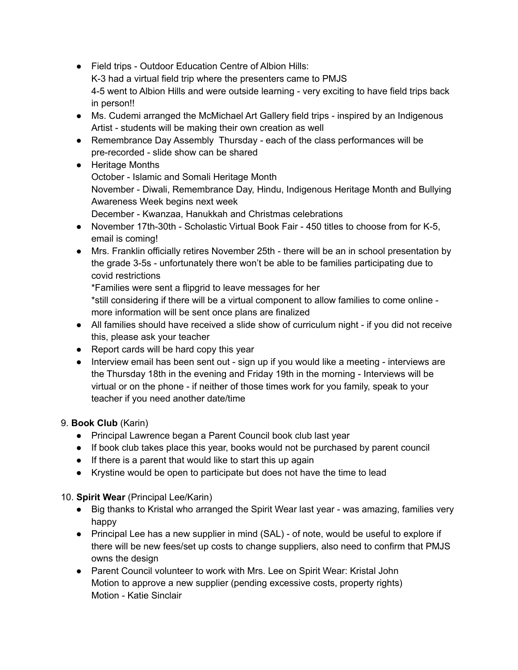- Field trips Outdoor Education Centre of Albion Hills: K-3 had a virtual field trip where the presenters came to PMJS 4-5 went to Albion Hills and were outside learning - very exciting to have field trips back in person!!
- Ms. Cudemi arranged the McMichael Art Gallery field trips inspired by an Indigenous Artist - students will be making their own creation as well
- Remembrance Day Assembly Thursday each of the class performances will be pre-recorded - slide show can be shared
- Heritage Months October - Islamic and Somali Heritage Month November - Diwali, Remembrance Day, Hindu, Indigenous Heritage Month and Bullying Awareness Week begins next week December - Kwanzaa, Hanukkah and Christmas celebrations
- November 17th-30th Scholastic Virtual Book Fair 450 titles to choose from for K-5, email is coming!
- Mrs. Franklin officially retires November 25th there will be an in school presentation by the grade 3-5s - unfortunately there won't be able to be families participating due to covid restrictions

\*Families were sent a flipgrid to leave messages for her

\*still considering if there will be a virtual component to allow families to come online more information will be sent once plans are finalized

- All families should have received a slide show of curriculum night if you did not receive this, please ask your teacher
- Report cards will be hard copy this year
- Interview email has been sent out sign up if you would like a meeting interviews are the Thursday 18th in the evening and Friday 19th in the morning - Interviews will be virtual or on the phone - if neither of those times work for you family, speak to your teacher if you need another date/time

# 9. **Book Club** (Karin)

- Principal Lawrence began a Parent Council book club last year
- If book club takes place this year, books would not be purchased by parent council
- If there is a parent that would like to start this up again
- Krystine would be open to participate but does not have the time to lead

# 10. **Spirit Wear** (Principal Lee/Karin)

- Big thanks to Kristal who arranged the Spirit Wear last year was amazing, families very happy
- Principal Lee has a new supplier in mind (SAL) of note, would be useful to explore if there will be new fees/set up costs to change suppliers, also need to confirm that PMJS owns the design
- Parent Council volunteer to work with Mrs. Lee on Spirit Wear: Kristal John Motion to approve a new supplier (pending excessive costs, property rights) Motion - Katie Sinclair